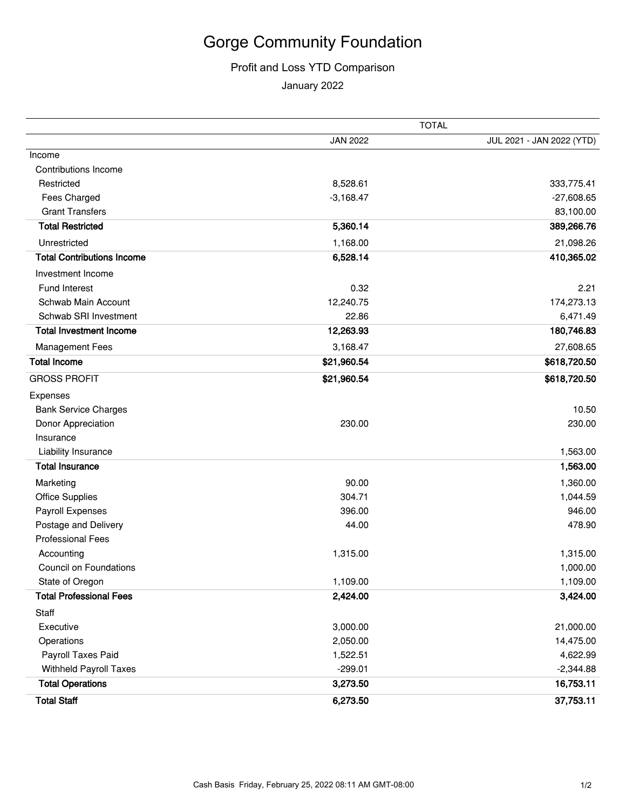## Gorge Community Foundation

## Profit and Loss YTD Comparison

January 2022

|                                   | <b>TOTAL</b>    |                           |
|-----------------------------------|-----------------|---------------------------|
|                                   | <b>JAN 2022</b> | JUL 2021 - JAN 2022 (YTD) |
| Income                            |                 |                           |
| <b>Contributions Income</b>       |                 |                           |
| Restricted                        | 8,528.61        | 333,775.41                |
| Fees Charged                      | $-3,168.47$     | $-27,608.65$              |
| <b>Grant Transfers</b>            |                 | 83,100.00                 |
| <b>Total Restricted</b>           | 5,360.14        | 389,266.76                |
| Unrestricted                      | 1,168.00        | 21,098.26                 |
| <b>Total Contributions Income</b> | 6,528.14        | 410,365.02                |
| Investment Income                 |                 |                           |
| Fund Interest                     | 0.32            | 2.21                      |
| Schwab Main Account               | 12,240.75       | 174,273.13                |
| Schwab SRI Investment             | 22.86           | 6,471.49                  |
| <b>Total Investment Income</b>    | 12,263.93       | 180,746.83                |
| <b>Management Fees</b>            | 3,168.47        | 27,608.65                 |
| <b>Total Income</b>               | \$21,960.54     | \$618,720.50              |
| <b>GROSS PROFIT</b>               | \$21,960.54     | \$618,720.50              |
| Expenses                          |                 |                           |
| <b>Bank Service Charges</b>       |                 | 10.50                     |
| Donor Appreciation                | 230.00          | 230.00                    |
| Insurance                         |                 |                           |
| Liability Insurance               |                 | 1,563.00                  |
| <b>Total Insurance</b>            |                 | 1,563.00                  |
| Marketing                         | 90.00           | 1,360.00                  |
| <b>Office Supplies</b>            | 304.71          | 1,044.59                  |
| Payroll Expenses                  | 396.00          | 946.00                    |
| Postage and Delivery              | 44.00           | 478.90                    |
| <b>Professional Fees</b>          |                 |                           |
| Accounting                        | 1,315.00        | 1,315.00                  |
| <b>Council on Foundations</b>     |                 | 1,000.00                  |
| State of Oregon                   | 1,109.00        | 1,109.00                  |
| <b>Total Professional Fees</b>    | 2,424.00        | 3,424.00                  |
| Staff                             |                 |                           |
| Executive                         | 3,000.00        | 21,000.00                 |
| Operations                        | 2,050.00        | 14,475.00                 |
| Payroll Taxes Paid                | 1,522.51        | 4,622.99                  |
| <b>Withheld Payroll Taxes</b>     | $-299.01$       | $-2,344.88$               |
| <b>Total Operations</b>           | 3,273.50        | 16,753.11                 |
| <b>Total Staff</b>                | 6,273.50        | 37,753.11                 |